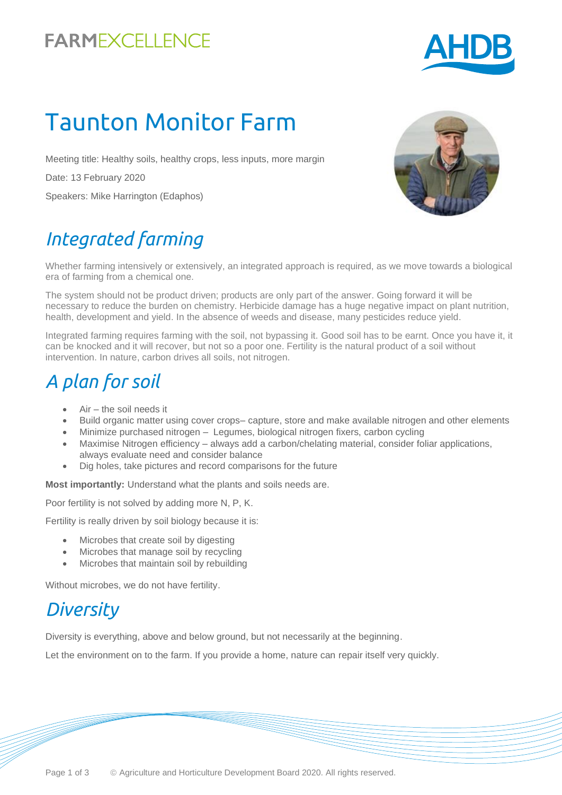### **FARMEXCELLENCE**



# Taunton Monitor Farm

Meeting title: Healthy soils, healthy crops, less inputs, more margin

Date: 13 February 2020

Speakers: Mike Harrington (Edaphos)

## *Integrated farming*

Whether farming intensively or extensively, an integrated approach is required, as we move towards a biological era of farming from a chemical one.

The system should not be product driven; products are only part of the answer. Going forward it will be necessary to reduce the burden on chemistry. Herbicide damage has a huge negative impact on plant nutrition, health, development and yield. In the absence of weeds and disease, many pesticides reduce yield.

Integrated farming requires farming with the soil, not bypassing it. Good soil has to be earnt. Once you have it, it can be knocked and it will recover, but not so a poor one. Fertility is the natural product of a soil without intervention. In nature, carbon drives all soils, not nitrogen.

### *A plan for soil*

- Air the soil needs it
- Build organic matter using cover crops– capture, store and make available nitrogen and other elements
- Minimize purchased nitrogen Legumes, biological nitrogen fixers, carbon cycling
- Maximise Nitrogen efficiency always add a carbon/chelating material, consider foliar applications, always evaluate need and consider balance
- Dig holes, take pictures and record comparisons for the future

**Most importantly:** Understand what the plants and soils needs are.

Poor fertility is not solved by adding more N, P, K.

Fertility is really driven by soil biology because it is:

- Microbes that create soil by digesting
- Microbes that manage soil by recycling
- Microbes that maintain soil by rebuilding

Without microbes, we do not have fertility.

#### *Diversity*

Diversity is everything, above and below ground, but not necessarily at the beginning.

Let the environment on to the farm. If you provide a home, nature can repair itself very quickly.

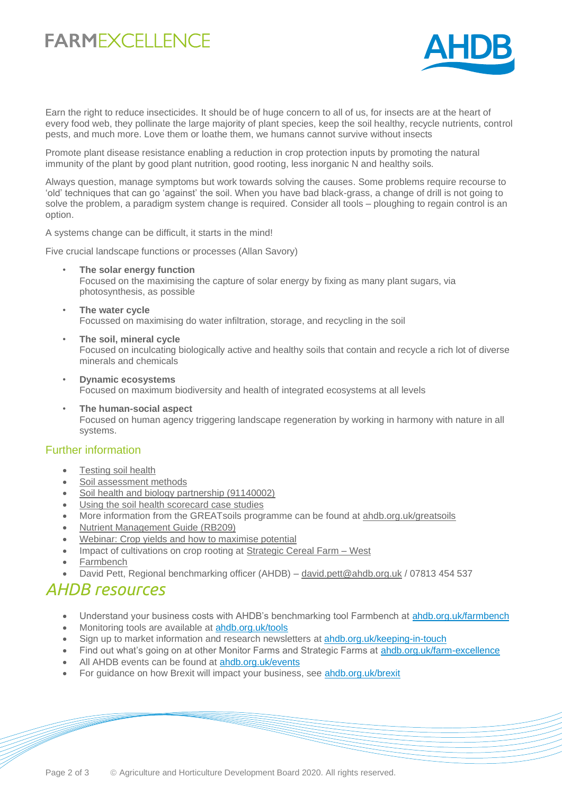### **FARMEXCELLENCE**



Earn the right to reduce insecticides. It should be of huge concern to all of us, for insects are at the heart of every food web, they pollinate the large majority of plant species, keep the soil healthy, recycle nutrients, control pests, and much more. Love them or loathe them, we humans cannot survive without insects

Promote plant disease resistance enabling a reduction in crop protection inputs by promoting the natural immunity of the plant by good plant nutrition, good rooting, less inorganic N and healthy soils.

Always question, manage symptoms but work towards solving the causes. Some problems require recourse to 'old' techniques that can go 'against' the soil. When you have bad black-grass, a change of drill is not going to solve the problem, a paradigm system change is required. Consider all tools – ploughing to regain control is an option.

A systems change can be difficult, it starts in the mind!

Five crucial landscape functions or processes (Allan Savory)

- **The solar energy function** Focused on the maximising the capture of solar energy by fixing as many plant sugars, via photosynthesis, as possible
- **The water cycle** Focussed on maximising do water infiltration, storage, and recycling in the soil
- **The soil, mineral cycle** Focused on inculcating biologically active and healthy soils that contain and recycle a rich lot of diverse minerals and chemicals
- **Dynamic ecosystems** Focused on maximum biodiversity and health of integrated ecosystems at all levels
- **The human-social aspect** Focused on human agency triggering landscape regeneration by working in harmony with nature in all systems.

#### Further information

- [Testing soil health](https://ahdb.org.uk/knowledge-library/testing-soil-health)
- [Soil assessment methods](https://ahdb.org.uk/knowledge-library/greatsoils-soil-assessment-methods)
- [Soil health and biology partnership \(91140002\)](https://cereals.ahdb.org.uk/shp)
- [Using the soil health scorecard case studies](https://ahdb.org.uk/knowledge-library/testing-the-soil-health-scorecard)
- More information from the GREATsoils programme can be found at [ahdb.org.uk/greatsoils](https://ahdb.org.uk/greatsoils)
- [Nutrient Management Guide \(RB209\)](https://www.ahdb.org.uk/knowledge-library/rb209-section-1-principles-of-nutrient-management-and-fertiliser-use)
- [Webinar: Crop yields and how to maximise potential](https://www.youtube.com/watch?v=w9g2mwMSokQ)
- Impact of cultivations on crop rooting at Strategic Cereal Farm West
- **[Farmbench](https://ahdb.org.uk/farmbench)**
- David Pett, Regional benchmarking officer (AHDB) [david.pett@ahdb.org.uk](mailto:david.pett@ahdb.org.uk) / 07813 454 537

#### *AHDB resources*

- Understand your business costs with AHDB's benchmarking tool Farmbench at [ahdb.org.uk/farmbench](https://ahdb.org.uk/farmbench)
- Monitoring tools are available at [ahdb.org.uk/tools](https://ahdb.org.uk/tools)
- Sign up to market information and research newsletters at [ahdb.org.uk/keeping-in-touch](https://ahdb.org.uk/keeping-in-touch)
- Find out what's going on at other Monitor Farms and Strategic Farms at [ahdb.org.uk/farm-excellence](https://ahdb.org.uk/farm-excellence)
- All AHDB events can be found at [ahdb.org.uk/events](https://ahdb.org.uk/events)
- For guidance on how Brexit will impact your business, see [ahdb.org.uk/brexit](https://ahdb.org.uk/brexit)